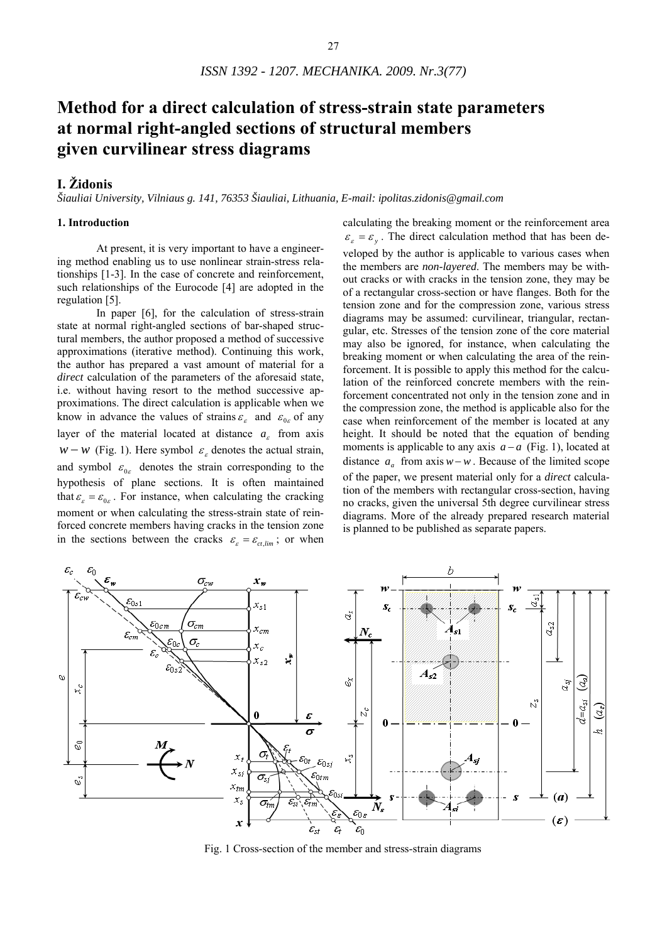# **Method for a direct calculation of stress-strain state parameters at normal right-angled sections of structural members given curvilinear stress diagrams**

# **I. Židonis**

*Šiauliai University, Vilniaus g. 141, 76353 Šiauliai, Lithuania, E-mail: ipolitas.zidonis@gmail.com* 

# **1. Introduction**

At present, it is very important to have a engineering method enabling us to use nonlinear strain-stress relationships [1-3]. In the case of concrete and reinforcement, such relationships of the Eurocode [4] are adopted in the regulation [5].

In paper [6], for the calculation of stress-strain state at normal right-angled sections of bar-shaped structural members, the author proposed a method of successive approximations (iterative method). Continuing this work, the author has prepared a vast amount of material for a *direct* calculation of the parameters of the aforesaid state, i.e. without having resort to the method successive approximations. The direct calculation is applicable when we know in advance the values of strains  $\varepsilon_{\varepsilon}$  and  $\varepsilon_{0\varepsilon}$  of any layer of the material located at distance  $a_{\varepsilon}$  from axis *w* − *w* (Fig. 1). Here symbol  $\varepsilon$ <sub>*ε*</sub> denotes the actual strain, and symbol  $\varepsilon_{0\varepsilon}$  denotes the strain corresponding to the hypothesis of plane sections. It is often maintained that  $\varepsilon_{\varepsilon} = \varepsilon_{0\varepsilon}$ . For instance, when calculating the cracking moment or when calculating the stress-strain state of reinforced concrete members having cracks in the tension zone in the sections between the cracks  $\varepsilon_{\varepsilon} = \varepsilon_{ct,lim}$ ; or when calculating the breaking moment or the reinforcement area  $\varepsilon_{\varepsilon} = \varepsilon_{v}$ . The direct calculation method that has been developed by the author is applicable to various cases when the members are *non-layered*. The members may be without cracks or with cracks in the tension zone, they may be of a rectangular cross-section or have flanges. Both for the tension zone and for the compression zone, various stress diagrams may be assumed: curvilinear, triangular, rectangular, etc. Stresses of the tension zone of the core material may also be ignored, for instance, when calculating the breaking moment or when calculating the area of the reinforcement. It is possible to apply this method for the calculation of the reinforced concrete members with the reinforcement concentrated not only in the tension zone and in the compression zone, the method is applicable also for the case when reinforcement of the member is located at any height. It should be noted that the equation of bending moments is applicable to any axis *a* − *a* (Fig. 1), located at distance  $a_n$  from axis  $w-w$ . Because of the limited scope of the paper, we present material only for a *direct* calculation of the members with rectangular cross-section, having no cracks, given the universal 5th degree curvilinear stress diagrams. More of the already prepared research material is planned to be published as separate papers.



Fig. 1 Cross-section of the member and stress-strain diagrams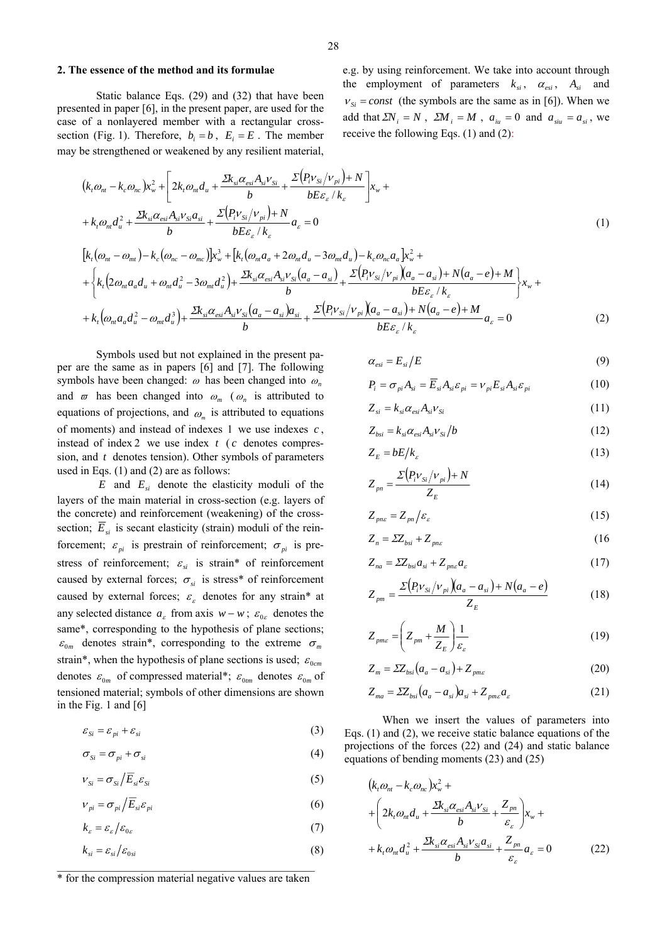#### **2. The essence of the method and its formulae**

Static balance Eqs. (29) and (32) that have been presented in paper [6], in the present paper, are used for the case of a nonlayered member with a rectangular crosssection (Fig. 1). Therefore,  $b_i = b$ ,  $E_i = E$ . The member may be strengthened or weakened by any resilient material,

e.g. by using reinforcement. We take into account through the employment of parameters  $k_{si}$ ,  $\alpha_{esi}$ ,  $A_{si}$  and  $v_{si} = const$  (the symbols are the same as in [6]). When we add that  $\sum N_i = N$ ,  $\sum M_i = M$ ,  $a_{ii} = 0$  and  $a_{sii} = a_{si}$ , we receive the following Eqs. (1) and (2):

$$
\left(k_{i}\omega_{nt} - k_{c}\omega_{nc}\right)x_{w}^{2} + \left[2k_{i}\omega_{nt}d_{u} + \frac{\Sigma k_{si}\alpha_{esi}A_{si}v_{Si}}{b} + \frac{\Sigma\left(P_{i}v_{Si}/v_{pi}\right) + N}{bE\varepsilon_{\varepsilon}/k_{\varepsilon}}\right]x_{w} ++ k_{i}\omega_{nt}d_{u}^{2} + \frac{\Sigma k_{si}\alpha_{esi}A_{si}v_{Si}a_{si}}{b} + \frac{\Sigma\left(P_{i}v_{Si}/v_{pi}\right) + N}{bE\varepsilon_{\varepsilon}/k_{\varepsilon}}a_{\varepsilon} = 0
$$
\n(1)

$$
\[k_{t}(\omega_{nt} - \omega_{mt}) - k_{c}(\omega_{nc} - \omega_{mc})\]x_{w}^{3} + [k_{t}(\omega_{nt}a_{a} + 2\omega_{nt}d_{u} - 3\omega_{mt}d_{u}) - k_{c}\omega_{nc}a_{a}\]x_{w}^{2} ++ \begin{cases} k_{t}(2\omega_{nt}a_{a}d_{u} + \omega_{nt}d_{u}^{2} - 3\omega_{mt}d_{u}^{2}) + \frac{2k_{si}\alpha_{esi}A_{si}v_{si}(a_{a} - a_{si})}{b} + \frac{\Sigma(p_{t}v_{si}/v_{pi})(a_{a} - a_{si}) + N(a_{a} - e) + M}{bE\varepsilon_{c}/k_{c}} \Big\}x_{w} ++ k_{t}(\omega_{nt}a_{a}d_{u}^{2} - \omega_{mt}d_{u}^{3}) + \frac{2k_{si}\alpha_{esi}A_{si}v_{si}(a_{a} - a_{si})a_{si}}{b} + \frac{\Sigma(p_{t}v_{si}/v_{pi})(a_{a} - a_{si}) + N(a_{a} - e) + M}{bE\varepsilon_{c}/k_{c}}a_{s} = 0 \end{cases}
$$
(2)

Symbols used but not explained in the present paper are the same as in papers [6] and [7]. The following symbols have been changed: ω has been changed into <sup>ω</sup>*<sup>n</sup>* and  $\varpi$  has been changed into  $\omega_m$  ( $\omega_n$  is attributed to equations of projections, and  $\omega_{\text{m}}$  is attributed to equations of moments) and instead of indexes  $1$  we use indexes  $c$ , instead of index 2 we use index  $t$  ( $c$  denotes compression, and *t* denotes tension). Other symbols of parameters used in Eqs. (1) and (2) are as follows:

 $E$  and  $E<sub>si</sub>$  denote the elasticity moduli of the layers of the main material in cross-section (e.g. layers of the concrete) and reinforcement (weakening) of the crosssection;  $\overline{E}_{si}$  is secant elasticity (strain) moduli of the reinforcement;  $\varepsilon_{pi}$  is prestrain of reinforcement;  $\sigma_{pi}$  is prestress of reinforcement;  $\varepsilon_{si}$  is strain\* of reinforcement caused by external forces;  $\sigma_{si}$  is stress<sup>\*</sup> of reinforcement caused by external forces;  $\varepsilon$  denotes for any strain\* at any selected distance  $a_{\varepsilon}$  from axis  $w - w$ ;  $\varepsilon_{0\varepsilon}$  denotes the same\*, corresponding to the hypothesis of plane sections;  $\varepsilon_{0m}$  denotes strain\*, corresponding to the extreme  $\sigma_m$ strain\*, when the hypothesis of plane sections is used;  $\varepsilon_{0cm}$ denotes  $\varepsilon_{0m}$  of compressed material\*;  $\varepsilon_{0m}$  denotes  $\varepsilon_{0m}$  of tensioned material; symbols of other dimensions are shown in the Fig. 1 and [6]

$$
\varepsilon_{Si} = \varepsilon_{pi} + \varepsilon_{si} \tag{3}
$$

$$
\sigma_{Si} = \sigma_{pi} + \sigma_{si} \tag{4}
$$

$$
V_{Si} = \sigma_{Si} / \overline{E}_{si} \varepsilon_{Si}
$$
 (5)

$$
V_{pi} = \sigma_{pi} / \overline{E}_{si} \varepsilon_{pi}
$$
 (6)

$$
k_{\varepsilon} = \varepsilon_{\varepsilon} / \varepsilon_{0\varepsilon} \tag{7}
$$

$$
k_{si} = \varepsilon_{si} / \varepsilon_{0si} \tag{8}
$$

# $\mathcal{L}_\text{max}$  , and the set of the set of the set of the set of the set of the set of the set of the set of the set of the set of the set of the set of the set of the set of the set of the set of the set of the set of the \* for the compression material negative values are taken

$$
\alpha_{\rm \scriptscriptstyle e s i} = E_{\rm \scriptscriptstyle si}/E \tag{9}
$$

$$
P_i = \sigma_{pi} A_{si} = \overline{E}_{si} A_{si} \varepsilon_{pi} = \nu_{pi} E_{si} A_{si} \varepsilon_{pi}
$$
 (10)

$$
Z_{si} = k_{si} \alpha_{esi} A_{si} V_{Si}
$$
 (11)

$$
Z_{bsi} = k_{si} \alpha_{esi} A_{si} v_{Si} / b \tag{12}
$$

$$
Z_E = bE/k_{\varepsilon} \tag{13}
$$

$$
Z_{pn} = \frac{\Sigma (P_i v_{Si}/v_{pi}) + N}{Z_E} \tag{14}
$$

$$
Z_{pns} = Z_{pn} / \varepsilon_s \tag{15}
$$

$$
Z_n = \Sigma Z_{bsi} + Z_{pne} \tag{16}
$$

$$
Z_{na} = \Sigma Z_{bsi} a_{si} + Z_{pne} a_{\varepsilon} \tag{17}
$$

$$
Z_{pm} = \frac{\Sigma (P_i v_{Si} / v_{pi}) (a_a - a_s) + N (a_a - e)}{Z_E}
$$
(18)

$$
Z_{pms} = \left(Z_{pm} + \frac{M}{Z_E}\right) \frac{1}{\varepsilon_{\varepsilon}}
$$
(19)

$$
Z_m = \Sigma Z_{bsi} \left( a_a - a_{si} \right) + Z_{pme} \tag{20}
$$

$$
Z_{ma} = \Sigma Z_{bsi} \left( a_a - a_{si} \right) a_{si} + Z_{pme} a_{\varepsilon} \tag{21}
$$

When we insert the values of parameters into Eqs. (1) and (2), we receive static balance equations of the projections of the forces (22) and (24) and static balance equations of bending moments (23) and (25)

$$
(k_{t}\omega_{nt} - k_{c}\omega_{nc})x_{w}^{2} +
$$
  
+ 
$$
\left(2k_{t}\omega_{nt}d_{u} + \frac{2k_{si}\alpha_{esi}A_{si}V_{Si}}{b} + \frac{Z_{pn}}{\varepsilon_{\varepsilon}}\right)x_{w} +
$$
  
+ 
$$
k_{t}\omega_{nt}d_{u}^{2} + \frac{2k_{si}\alpha_{esi}A_{si}V_{Si}a_{si}}{b} + \frac{Z_{pn}}{\varepsilon_{\varepsilon}}a_{\varepsilon} = 0
$$
 (22)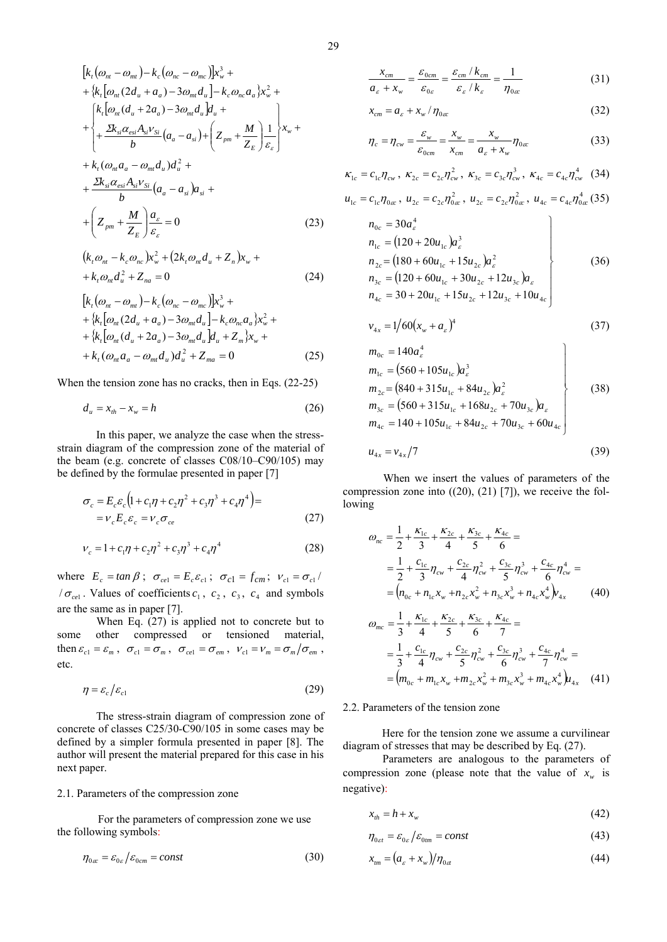$$
[k_{t}(\omega_{nt} - \omega_{mt}) - k_{c}(\omega_{nc} - \omega_{mc})]x_{w}^{3} +
$$
  
+ {k\_{t}[\omega\_{nt}(2d\_{u} + a\_{a}) - 3\omega\_{mt}d\_{u}] - k\_{c}\omega\_{nc}a\_{a}}x\_{w}^{2} +  
{k\_{t}[\omega\_{nt}(d\_{u} + 2a\_{a}) - 3\omega\_{mt}d\_{u}]d\_{u} +  
+ \frac{2k\_{si}\alpha\_{esi}A\_{si}v\_{si}}{b}(a\_{a} - a\_{si}) + (Z\_{pm} + \frac{M}{Z\_{E}})\frac{1}{\varepsilon\_{\varepsilon}}}\alpha\_{w} +  
+ k\_{t}(\omega\_{nt}a\_{a} - \omega\_{mt}d\_{u})d\_{u}^{2} +  
+ \frac{2k\_{si}\alpha\_{esi}A\_{si}v\_{si}}{b}(a\_{a} - a\_{si})a\_{si} +  
+ (Z\_{pm} + \frac{M}{Z\_{E}})\frac{a\_{\varepsilon}}{\varepsilon\_{\varepsilon}} = 0 (23)

$$
(k_{t}\omega_{nt} - k_{c}\omega_{nc})x_{w}^{2} + (2k_{t}\omega_{nt}d_{u} + Z_{n})x_{w} ++ k_{t}\omega_{nt}d_{u}^{2} + Z_{na} = 0
$$
\n(24)

$$
[k_{t}(\omega_{nt} - \omega_{mt}) - k_{c}(\omega_{nc} - \omega_{mc})]x_{w}^{3} ++ \{k_{t}[\omega_{nt}(2d_{u} + a_{a}) - 3\omega_{mt}d_{u}] - k_{c}\omega_{nc}a_{a}\}x_{w}^{2} ++ \{k_{t}[\omega_{nt}(d_{u} + 2a_{a}) - 3\omega_{mt}d_{u}\}d_{u} + Z_{m}\}x_{w} ++ k_{t}(\omega_{nt}a_{a} - \omega_{mt}d_{u})d_{u}^{2} + Z_{ma} = 0
$$
\n(25)

When the tension zone has no cracks, then in Eqs. (22-25)

$$
d_u = x_{th} - x_w = h \tag{26}
$$

In this paper, we analyze the case when the stressstrain diagram of the compression zone of the material of the beam (e.g. concrete of classes C08/10–C90/105) may be defined by the formulae presented in paper [7]

$$
\sigma_c = E_c \varepsilon_c \left( 1 + c_1 \eta + c_2 \eta^2 + c_3 \eta^3 + c_4 \eta^4 \right) =
$$
  
=  $V_c E_c \varepsilon_c = V_c \sigma_{ce}$  (27)

$$
v_c = 1 + c_1 \eta + c_2 \eta^2 + c_3 \eta^3 + c_4 \eta^4 \tag{28}
$$

where  $E_c = \tan \beta$ ;  $\sigma_{cel} = E_c \varepsilon_{cl}$ ;  $\sigma_{cl} = f_{cm}$ ;  $v_{cl} = \sigma_{cl}/$  $\sigma_{\text{rel}}$ . Values of coefficients  $c_1$ ,  $c_2$ ,  $c_3$ ,  $c_4$  and symbols are the same as in paper [7].

When Eq. (27) is applied not to concrete but to some other compressed or tensioned material, then  $\varepsilon_{c1} = \varepsilon_m$ ,  $\sigma_{c1} = \sigma_m$ ,  $\sigma_{ce1} = \sigma_{em}$ ,  $v_{c1} = v_m = \sigma_m / \sigma_{em}$ , etc.

$$
\eta = \varepsilon_c / \varepsilon_{c1} \tag{29}
$$

The stress-strain diagram of compression zone of concrete of classes C25/30-C90/105 in some cases may be defined by a simpler formula presented in paper [8]. The author will present the material prepared for this case in his next paper.

#### 2.1. Parameters of the compression zone

For the parameters of compression zone we use the following symbols:

$$
\eta_{0\alpha} = \varepsilon_{0\alpha}/\varepsilon_{0cm} = const \tag{30}
$$

29

$$
\frac{x_{cm}}{a_{\varepsilon} + x_w} = \frac{\varepsilon_{0cm}}{\varepsilon_{0\varepsilon}} = \frac{\varepsilon_{cm}/k_{cm}}{\varepsilon_{\varepsilon}/k_{\varepsilon}} = \frac{1}{\eta_{0\alpha}}\tag{31}
$$

$$
x_{cm} = a_{\varepsilon} + x_w / \eta_{0\alpha} \tag{32}
$$

$$
\eta_c = \eta_{cw} = \frac{\varepsilon_w}{\varepsilon_{0cm}} = \frac{x_w}{x_{cm}} = \frac{x_w}{a_{\varepsilon} + x_w} \eta_{0ac}
$$
(33)

$$
\kappa_{1c} = c_{1c}\eta_{cw}, \ \kappa_{2c} = c_{2c}\eta_{cw}^2, \ \kappa_{3c} = c_{3c}\eta_{cw}^3, \ \kappa_{4c} = c_{4c}\eta_{cw}^4 \quad (34)
$$

$$
u_{1c} = c_{1c}\eta_{0\alpha}, \ u_{2c} = c_{2c}\eta_{0\alpha}^2, \ u_{2c} = c_{2c}\eta_{0\alpha}^2, \ u_{4c} = c_{4c}\eta_{0\alpha}^4 \tag{35}
$$

$$
n_{0c} = 30a_{\varepsilon}^{4}
$$
  
\n
$$
n_{1c} = (120 + 20u_{1c})a_{\varepsilon}^{3}
$$
  
\n
$$
n_{2c} = (180 + 60u_{1c} + 15u_{2c})a_{\varepsilon}^{2}
$$
  
\n
$$
n_{3c} = (120 + 60u_{1c} + 30u_{2c} + 12u_{3c})a_{\varepsilon}
$$
  
\n
$$
n_{4c} = 30 + 20u_{1c} + 15u_{2c} + 12u_{3c} + 10u_{4c}
$$
\n(36)

$$
v_{4x} = 1/60(x_w + a_s)^4
$$
 (37)

$$
m_{0c} = 140a_{\varepsilon}^{4}
$$
  
\n
$$
m_{1c} = (560 + 105u_{1c})a_{\varepsilon}^{3}
$$
  
\n
$$
m_{2c} = (840 + 315u_{1c} + 84u_{2c})a_{\varepsilon}^{2}
$$
  
\n
$$
m_{3c} = (560 + 315u_{1c} + 168u_{2c} + 70u_{3c})a_{\varepsilon}
$$
  
\n
$$
m_{4c} = 140 + 105u_{1c} + 84u_{2c} + 70u_{3c} + 60u_{4c}
$$
\n(38)

$$
u_{4x} = v_{4x}/7 \tag{39}
$$

When we insert the values of parameters of the compression zone into  $((20), (21)$  [7]), we receive the following

$$
\omega_{nc} = \frac{1}{2} + \frac{\kappa_{1c}}{3} + \frac{\kappa_{2c}}{4} + \frac{\kappa_{3c}}{5} + \frac{\kappa_{4c}}{6} =
$$
  
\n
$$
= \frac{1}{2} + \frac{c_{1c}}{3} \eta_{cw} + \frac{c_{2c}}{4} \eta_{cw}^2 + \frac{c_{3c}}{5} \eta_{cw}^3 + \frac{c_{4c}}{6} \eta_{cw}^4 =
$$
  
\n
$$
= (\eta_{0c} + \eta_{1c} \chi_w + \eta_{2c} \chi_w^2 + \eta_{3c} \chi_w^3 + \eta_{4c} \chi_w^4) v_{4x}
$$
 (40)  
\n
$$
\omega_{mc} = \frac{1}{3} + \frac{\kappa_{1c}}{4} + \frac{\kappa_{2c}}{5} + \frac{\kappa_{3c}}{6} + \frac{\kappa_{4c}}{7} =
$$

$$
= \frac{1}{3} + \frac{c_{1c}}{4} \eta_{cw} + \frac{c_{2c}}{5} \eta_{cw}^2 + \frac{c_{3c}}{6} \eta_{cw}^3 + \frac{c_{4c}}{7} \eta_{cw}^4 =
$$
  
=  $(m_{0c} + m_{1c} x_w + m_{2c} x_w^2 + m_{3c} x_w^3 + m_{4c} x_w^4) u_{4x}$  (41)

#### 2.2. Parameters of the tension zone

Here for the tension zone we assume a curvilinear diagram of stresses that may be described by Eq. (27).

 Parameters are analogous to the parameters of compression zone (please note that the value of  $x_w$  is negative):

$$
x_{th} = h + x_w \tag{42}
$$

$$
\eta_{0\epsilon t} = \varepsilon_{0\epsilon} / \varepsilon_{0tm} = const \tag{43}
$$

$$
x_{tm} = \left(a_{\varepsilon} + x_w\right) / \eta_{0\alpha} \tag{44}
$$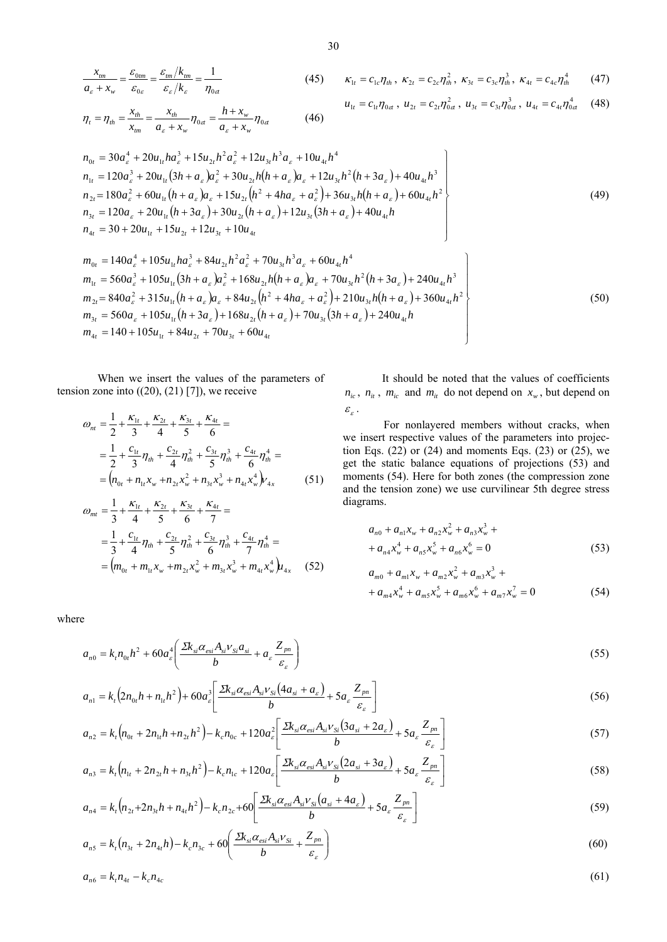$$
\frac{x_{lm}}{a_{\varepsilon} + x_w} = \frac{\varepsilon_{0lm}}{\varepsilon_{0\varepsilon}} = \frac{\varepsilon_{lm}/k_{lm}}{\varepsilon_{\varepsilon}/k_{\varepsilon}} = \frac{1}{\eta_{0a}}
$$
(45)  $\kappa_{1t} = c_{1c}\eta_{th}, \ \kappa_{2t} = c_{2c}\eta_{th}^2, \ \kappa_{3t} = c_{3c}\eta_{th}^3, \ \kappa_{4t} = c_{4c}\eta_{th}^4$ (47)

$$
\eta_t = \eta_{th} = \frac{x_{th}}{x_{tm}} = \frac{x_{th}}{a_{\varepsilon} + x_w} \eta_{0\alpha} = \frac{h + x_w}{a_{\varepsilon} + x_w} \eta_{0\alpha}
$$
(46)

$$
u_{1t} = c_{1t}\eta_{0\alpha} ,\ u_{2t} = c_{2t}\eta_{0\alpha}^2 ,\ u_{3t} = c_{3t}\eta_{0\alpha}^3 ,\ u_{4t} = c_{4t}\eta_{0\alpha}^4 \qquad (48)
$$

$$
n_{0t} = 30a_{\varepsilon}^{4} + 20u_{1t}ha_{\varepsilon}^{3} + 15u_{2t}h^{2}a_{\varepsilon}^{2} + 12u_{3t}h^{3}a_{\varepsilon} + 10u_{4t}h^{4}
$$
  
\n
$$
n_{1t} = 120a_{\varepsilon}^{3} + 20u_{1t}(3h + a_{\varepsilon})a_{\varepsilon}^{2} + 30u_{2t}h(h + a_{\varepsilon})a_{\varepsilon} + 12u_{3t}h^{2}(h + 3a_{\varepsilon}) + 40u_{4t}h^{3}
$$
  
\n
$$
n_{2t} = 180a_{\varepsilon}^{2} + 60u_{1t}(h + a_{\varepsilon})a_{\varepsilon} + 15u_{2t}(h^{2} + 4ha_{\varepsilon} + a_{\varepsilon}^{2}) + 36u_{3t}h(h + a_{\varepsilon}) + 60u_{4t}h^{2}
$$
  
\n
$$
n_{3t} = 120a_{\varepsilon} + 20u_{1t}(h + 3a_{\varepsilon}) + 30u_{2t}(h + a_{\varepsilon}) + 12u_{3t}(3h + a_{\varepsilon}) + 40u_{4t}h
$$
  
\n
$$
n_{4t} = 30 + 20u_{1t} + 15u_{2t} + 12u_{3t} + 10u_{4t}
$$
 (49)

$$
m_{0t} = 140a_{\varepsilon}^{4} + 105u_{1t}ha_{\varepsilon}^{3} + 84u_{2t}h^{2}a_{\varepsilon}^{2} + 70u_{3t}h^{3}a_{\varepsilon} + 60u_{4t}h^{4}
$$
  
\n
$$
m_{1t} = 560a_{\varepsilon}^{3} + 105u_{1t}(3h + a_{\varepsilon})a_{\varepsilon}^{2} + 168u_{2t}h(h + a_{\varepsilon})a_{\varepsilon} + 70u_{3t}h^{2}(h + 3a_{\varepsilon}) + 240u_{4t}h^{3}
$$
  
\n
$$
m_{2t} = 840a_{\varepsilon}^{2} + 315u_{1t}(h + a_{\varepsilon})a_{\varepsilon} + 84u_{2t}(h^{2} + 4ha_{\varepsilon} + a_{\varepsilon}^{2}) + 210u_{3t}h(h + a_{\varepsilon}) + 360u_{4t}h^{2}
$$
  
\n
$$
m_{3t} = 560a_{\varepsilon} + 105u_{1t}(h + 3a_{\varepsilon}) + 168u_{2t}(h + a_{\varepsilon}) + 70u_{3t}(3h + a_{\varepsilon}) + 240u_{4t}h
$$
  
\n
$$
m_{4t} = 140 + 105u_{1t} + 84u_{2t} + 70u_{3t} + 60u_{4t}
$$
\n(50)

When we insert the values of the parameters of tension zone into  $((20), (21) [7])$ , we receive

$$
\omega_{nt} = \frac{1}{2} + \frac{\kappa_{1t}}{3} + \frac{\kappa_{2t}}{4} + \frac{\kappa_{3t}}{5} + \frac{\kappa_{4t}}{6} =
$$
  
\n
$$
= \frac{1}{2} + \frac{c_{1t}}{3} \eta_{th} + \frac{c_{2t}}{4} \eta_{th}^2 + \frac{c_{3t}}{5} \eta_{th}^3 + \frac{c_{4t}}{6} \eta_{th}^4 =
$$
  
\n
$$
= (n_{0t} + n_{1t} x_w + n_{2t} x_w^2 + n_{3t} x_w^3 + n_{4t} x_w^4) v_{4x}
$$
 (51)

$$
\omega_{mt} = \frac{1}{3} + \frac{\kappa_{1t}}{4} + \frac{\kappa_{2t}}{5} + \frac{\kappa_{3t}}{6} + \frac{\kappa_{4t}}{7} =
$$
  
=  $\frac{1}{3} + \frac{c_{1t}}{4} \eta_{th} + \frac{c_{2t}}{5} \eta_{th}^2 + \frac{c_{3t}}{6} \eta_{th}^3 + \frac{c_{4t}}{7} \eta_{th}^4 =$   
=  $(m_{0t} + m_{1t} x_w + m_{2t} x_w^2 + m_{3t} x_w^3 + m_{4t} x_w^4) u_{4x}$  (52)

It should be noted that the values of coefficients  $n_{ic}$ ,  $n_{it}$ ,  $m_{ic}$  and  $m_{it}$  do not depend on  $x_w$ , but depend on  $\mathcal{E}_{\varepsilon}$ .

For nonlayered members without cracks, when we insert respective values of the parameters into projection Eqs.  $(22)$  or  $(24)$  and moments Eqs.  $(23)$  or  $(25)$ , we get the static balance equations of projections (53) and moments (54). Here for both zones (the compression zone and the tension zone) we use curvilinear 5th degree stress diagrams.

$$
a_{n0} + a_{n1}x_w + a_{n2}x_w^2 + a_{n3}x_w^3 ++ a_{n4}x_w^4 + a_{n5}x_w^5 + a_{n6}x_w^6 = 0
$$
\n(53)

$$
a_{m0} + a_{m1}x_w + a_{m2}x_w^2 + a_{m3}x_w^3 ++ a_{m4}x_w^4 + a_{m5}x_w^5 + a_{m6}x_w^6 + a_{m7}x_w^7 = 0
$$
 (54)

where

$$
a_{n0} = k_r n_{0r} h^2 + 60 a_\varepsilon^4 \left( \frac{\Delta k_{si} \alpha_{esi} A_{si} V_{Si} a_{si}}{b} + a_\varepsilon \frac{Z_{pn}}{\varepsilon_\varepsilon} \right)
$$
(55)

$$
a_{n1} = k_t \left( 2n_{0t}h + n_{1t}h^2 \right) + 60a_{\varepsilon}^3 \left[ \frac{2k_{si}\alpha_{\varepsilon s}A_{si}v_{Si}(4a_{si} + a_{\varepsilon})}{b} + 5a_{\varepsilon} \frac{Z_{pn}}{\varepsilon_{\varepsilon}} \right]
$$
(56)

$$
a_{n2} = k_t \left(n_{0t} + 2n_{1t}h + n_{2t}h^2\right) - k_c n_{0c} + 120a_c^2 \left[\frac{\sum k_{si} \alpha_{esi} A_{si} V_{Si} \left(3a_{si} + 2a_c\right)}{b} + 5a_c \frac{Z_{pn}}{\varepsilon_c}\right]
$$
(57)

$$
a_{n3} = k_t \left(n_{1t} + 2n_{2t}h + n_{3t}h^2\right) - k_c n_{1c} + 120a_{\varepsilon} \left[ \frac{2k_{si}\alpha_{esi}A_{si}v_{Si}(2a_{si} + 3a_{\varepsilon})}{b} + 5a_{\varepsilon} \frac{Z_{pn}}{\varepsilon_{\varepsilon}} \right]
$$
(58)

$$
a_{n4} = k_t \left(n_{2t} + 2n_{3t}h + n_{4t}h^2\right) - k_c n_{2c} + 60 \left[\frac{\sum k_{si}\alpha_{esi}A_{si}v_{Si}(a_{si} + 4a_{\varepsilon})}{b} + 5a_{\varepsilon}\frac{Z_{pn}}{\varepsilon_{\varepsilon}}\right]
$$
(59)

$$
a_{n5} = k_t(n_{3t} + 2n_{4t}h) - k_c n_{3c} + 60 \left( \frac{\Sigma k_{si} \alpha_{esi} A_{si} V_{Si}}{b} + \frac{Z_{pn}}{\varepsilon_s} \right)
$$
(60)

$$
a_{n6} = k_1 n_{4t} - k_c n_{4c} \tag{61}
$$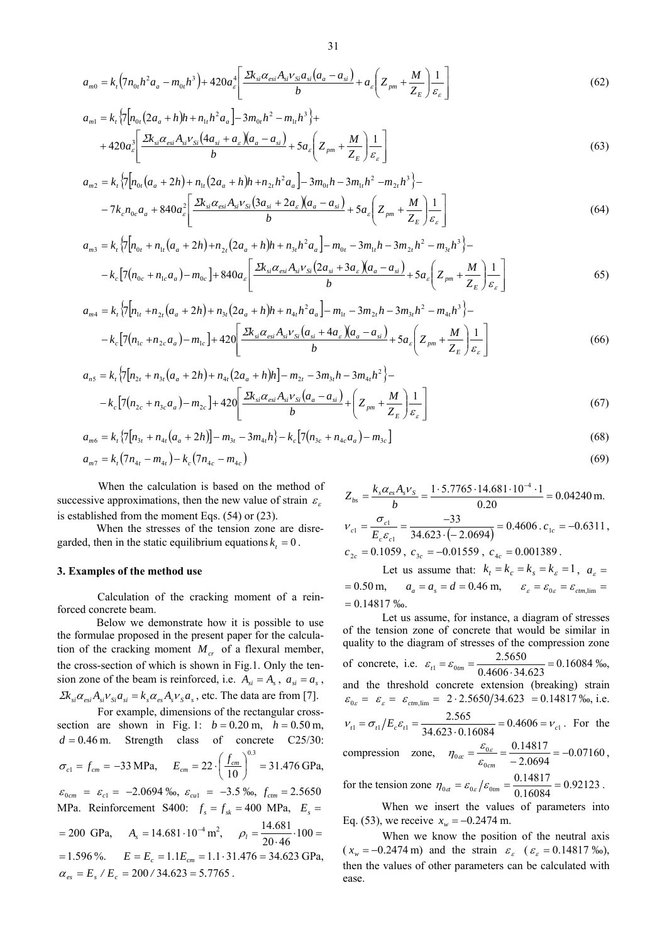$$
a_{m0} = k_{t} \left( 7n_{0t}h^{2}a_{a} - m_{0t}h^{3} \right) + 420a_{\varepsilon}^{4} \left[ \frac{\Sigma k_{si} \alpha_{\varepsilon_{si}} A_{si} \nu_{Si} a_{si} \left( a_{a} - a_{si} \right)}{b} + a_{\varepsilon} \left( Z_{pm} + \frac{M}{Z_{E}} \right) \frac{1}{\varepsilon_{\varepsilon}} \right]
$$
(62)

$$
a_{m1} = k_{t} \left\{ 7 \left[ n_{0t} \left( 2a_{a} + h \right) h + n_{1t} h^{2} a_{a} \right] - 3m_{0t} h^{2} - m_{1t} h^{3} \right\} + 420 a_{\varepsilon}^{3} \left[ \frac{2k_{si} \alpha_{esi} A_{si} \nu_{Si} \left( 4a_{si} + a_{\varepsilon} \right) \left( a_{a} - a_{si} \right)}{b} + 5a_{\varepsilon} \left( Z_{pm} + \frac{M}{Z_{E}} \right) \frac{1}{\varepsilon_{\varepsilon}} \right]
$$
\n
$$
(63)
$$

$$
a_{m2} = k_{t} \left\{ \frac{1}{2} \left[ n_{0t} \left( a_{a} + 2h \right) + n_{1t} \left( 2a_{a} + h \right) h + n_{2t} h^{2} a_{a} \right] - 3m_{0t} h - 3m_{1t} h^{2} - m_{2t} h^{3} \right\} - 7k_{c} n_{0c} a_{a} + 840 a_{c}^{2} \left[ \frac{2k_{si} \alpha_{esi} A_{si} v_{Si} \left( 3a_{si} + 2a_{s} \right) \left( a_{a} - a_{si} \right)}{b} + 5a_{c} \left( Z_{pm} + \frac{M}{Z_{E}} \right) \frac{1}{\varepsilon_{c}} \right]
$$
\n
$$
(64)
$$

$$
a_{m3} = k_{t} \left\{ 7 \left[ n_{0t} + n_{1t} \left( a_{a} + 2h \right) + n_{2t} \left( 2a_{a} + h \right) h + n_{3t} h^{2} a_{a} \right] - m_{0t} - 3m_{1t} h - 3m_{2t} h^{2} - m_{3t} h^{3} \right\} - k_{c} \left[ 7 \left( n_{0c} + n_{1c} a_{a} \right) - m_{0c} \right] + 840 a_{\varepsilon} \left[ \frac{\Sigma k_{si} \alpha_{esi} A_{si} v_{Si} \left( 2a_{si} + 3a_{\varepsilon} \right) \left( a_{a} - a_{si} \right)}{b} + 5a_{\varepsilon} \left( Z_{pm} + \frac{M}{Z_{E}} \right) \frac{1}{\varepsilon_{\varepsilon}} \right] \tag{65}
$$

$$
a_{m4} = k_{t} \left\{ 7\left[n_{1t} + n_{2t} \left(a_{a} + 2h\right) + n_{3t} \left(2a_{a} + h\right)h + n_{4t}h^{2}a_{a}\right] - m_{1t} - 3m_{2t}h - 3m_{3t}h^{2} - m_{4t}h^{3} \right\} - k_{c} \left[7\left(n_{1c} + n_{2c}a_{a}\right) - m_{1c}\right] + 420 \left[ \frac{2k_{si}\alpha_{esi}A_{si}v_{Si}\left(a_{si} + 4a_{s}\right)\left(a_{a} - a_{si}\right)}{b} + 5a_{s} \left( Z_{pm} + \frac{M}{Z_{E}} \right) \frac{1}{\varepsilon_{s}} \right]
$$
(66)

$$
a_{n5} = k_1 \left\{ 7 \left[ n_{2t} + n_{3t} \left( a_a + 2h \right) + n_{4t} \left( 2a_a + h \right) h \right] - m_{2t} - 3m_{3t} h - 3m_{4t} h^2 \right\} - k_c \left[ 7 \left( n_{2c} + n_{3c} a_a \right) - m_{2c} \right] + 420 \left[ \frac{2k_{si} \alpha_{esi} A_{si} \nu_{Si} \left( a_a - a_{si} \right)}{b} + \left( Z_{pm} + \frac{M}{Z_E} \right) \frac{1}{\varepsilon_{\varepsilon}} \right] \tag{67}
$$

$$
a_{m6} = k_{t} \{7[n_{3t} + n_{4t}(a_{a} + 2h)] - m_{3t} - 3m_{4t}h\} - k_{c} \left[7(n_{3c} + n_{4c}a_{a}) - m_{3c}\right]
$$
\n(68)

$$
a_{m7} = k_t (7n_{4t} - m_{4t}) - k_c (7n_{4c} - m_{4c})
$$
\n(69)

When the calculation is based on the method of successive approximations, then the new value of strain  $\varepsilon$ . is established from the moment Eqs. (54) or (23).

When the stresses of the tension zone are disregarded, then in the static equilibrium equations  $k<sub>t</sub> = 0$ .

#### **3. Examples of the method use**

Calculation of the cracking moment of a reinforced concrete beam.

Below we demonstrate how it is possible to use the formulae proposed in the present paper for the calculation of the cracking moment  $M_{cr}$  of a flexural member, the cross-section of which is shown in Fig.1. Only the tension zone of the beam is reinforced, i.e.  $A_{si} = A_s$ ,  $a_{si} = a_s$ ,  $\sum k_{si} \alpha_{esi} A_{si} v_{si} a_{si} = k_s \alpha_{es} A_s v_s a_s$ , etc. The data are from [7].

For example, dimensions of the rectangular crosssection are shown in Fig. 1:  $b = 0.20$  m,  $h = 0.50$  m,  $d = 0.46$  m. Strength class of concrete C25/30:  $\sigma_{c1} = f_{cm} = -33 \text{ MPa}, \quad E_{cm} = 22 \cdot \left( \frac{f_{cm}}{10} \right) = 31.476$ 0.3  $\left(\frac{f_{cm}}{10}\right)^{0.5}$  = ⎝  $E_{cm} = 22 \cdot \left(\frac{f_{cm}}{10}\right)^{0.5} = 31.476 \text{ GPa},$  $\varepsilon_{0cm} = \varepsilon_{c1} = -2.0694\%$ <sub>0</sub>,  $\varepsilon_{cu1} = -3.5\%$ <sub>0</sub>,  $f_{cm} = 2.5650$ MPa. Reinforcement S400:  $f_s = f_{sk} = 400 \text{ MPa}$ ,  $E_s =$  $= 200 \text{ GPa}, \quad A_s = 14.681 \cdot 10^{-4} \text{ m}^2, \quad \rho_l = \frac{14.081}{20.46} \cdot 100 =$ 14.681 ρ*l*  $E = 1.596\%$ .  $E = E_c = 1.1E_{cm} = 1.1 \cdot 31.476 = 34.623 \text{ GPa}$ ,  $\alpha_{es} = E_s / E_c = 200 / 34.623 = 5.7765$ .

$$
Z_{bs} = \frac{k_s \alpha_{es} A_s v_s}{b} = \frac{1 \cdot 5.7765 \cdot 14.681 \cdot 10^{-4} \cdot 1}{0.20} = 0.04240 \text{ m.}
$$
  
\n
$$
v_{c1} = \frac{\sigma_{c1}}{E_c \varepsilon_{c1}} = \frac{-33}{34.623 \cdot (-2.0694)} = 0.4606 \cdot c_{1c} = -0.6311,
$$
  
\n
$$
c_{2c} = 0.1059, c_{3c} = -0.01559, c_{4c} = 0.001389.
$$
  
\nLet us assume that:  $k = k = k = k = 1$ 

Let us assume that:  $k_t = k_c = k_s = k_s = 1$ ,  $a_t =$  $= 0.50 \text{ m}, \quad a_a = a_s = d = 0.46 \text{ m}, \quad \varepsilon_{\varepsilon} = \varepsilon_{0\varepsilon} = \varepsilon_{cm, \text{lim}} =$  $= 0.14817 %$ 

Let us assume, for instance, a diagram of stresses of the tension zone of concrete that would be similar in quality to the diagram of stresses of the compression zone of concrete, i.e.  $\varepsilon_{t1} = \varepsilon_{0tm} = \frac{2.5656}{0.4606 \cdot 34.623} = 0.16084$  $\varepsilon_{t1} = \varepsilon_{0tm} = \frac{2.5650}{0.4606 \cdot 34.623} = 0.16084 \text{ %o},$ and the threshold concrete extension (breaking) strain  $\varepsilon_{0\varepsilon} = \varepsilon_{\varepsilon} = \varepsilon_{cm,lim} = 2 \cdot 2.5650/34.623 = 0.14817\%$ , i.e.  $v_{c1} = \sigma_{r1}/E_c \varepsilon_{r1} = \frac{2.585}{34.623 \cdot 0.16084} = 0.4606 = v_{c1}$  $v_{t1} = \sigma_{t1}/E_c \varepsilon_{t1} = \frac{2.565}{34.623 \cdot 0.16084} = 0.4606 = v_{c1}$ . For the compression zone,  $\eta_{0\alpha} = \frac{\varepsilon_{0\alpha}}{\varepsilon_{0cm}} = \frac{0.14617}{-2.0694} = -0.07160$ 0.14817  $\mathbf 0$  $\sigma_{0x} = \frac{\epsilon_{0s}}{\epsilon_{0cm}} = \frac{0.14817}{-2.0694} = \eta_{0\alpha} = \frac{\varepsilon_{0\alpha}}{\varepsilon} = \frac{0.14817}{2.0604} = -0.07160$ 

for the tension zone  $\eta_{0a} = \varepsilon_{0a}/\varepsilon_{0im} = \frac{0.14817}{0.16084} = 0.92123$  $\eta_{0a} = \varepsilon_{0e} / \varepsilon_{0tm} = \frac{0.14817}{0.16084} = 0.92123$ .

When we insert the values of parameters into Eq. (53), we receive  $x_w = -0.2474$  m.

When we know the position of the neutral axis  $(x_w = -0.2474 \text{ m})$  and the strain  $\varepsilon_{\varepsilon}$   $(\varepsilon_{\varepsilon} = 0.14817 \text{ %}$ , then the values of other parameters can be calculated with ease.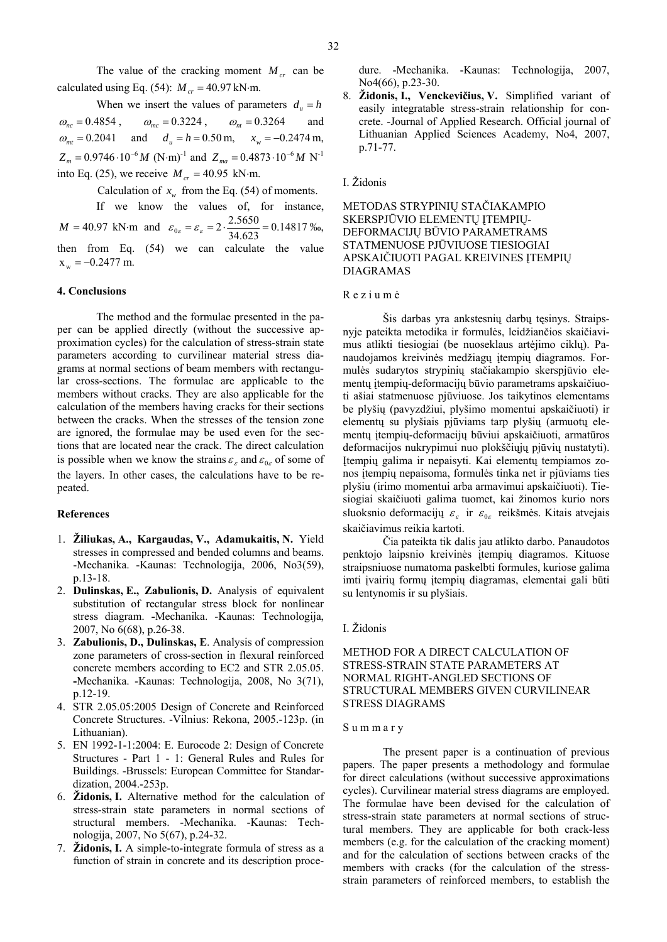The value of the cracking moment  $M_{cr}$  can be calculated using Eq. (54):  $M_{cr} = 40.97 \text{ kN·m.}$ 

When we insert the values of parameters  $d_u = h$  $\omega_{nc} = 0.4854$ ,  $\omega_{mc} = 0.3224$ ,  $\omega_{nt} = 0.3264$  and  $\omega_{mt} = 0.2041$  and  $d_u = h = 0.50$  m,  $x_w = -0.2474$  m,  $Z_m = 0.9746 \cdot 10^{-6} M \text{ (N·m)}^{-1}$  and  $Z_{ma} = 0.4873 \cdot 10^{-6} M \text{ N}^{-1}$ into Eq. (25), we receive  $M_{cr} = 40.95 \text{ kN·m.}$ 

Calculation of  $x<sub>m</sub>$  from the Eq. (54) of moments.

If we know the values of, for instance,  $M = 40.97$  kN⋅m and  $\varepsilon_{0\varepsilon} = \varepsilon_{\varepsilon} = 2 \cdot \frac{2.5650}{34.623} = 0.14817$  ‰, then from Eq. (54) we can calculate the value  $x_w = -0.2477$  m.

# **4. Conclusions**

The method and the formulae presented in the paper can be applied directly (without the successive approximation cycles) for the calculation of stress-strain state parameters according to curvilinear material stress diagrams at normal sections of beam members with rectangular cross-sections. The formulae are applicable to the members without cracks. They are also applicable for the calculation of the members having cracks for their sections between the cracks. When the stresses of the tension zone are ignored, the formulae may be used even for the sections that are located near the crack. The direct calculation is possible when we know the strains  $\varepsilon_c$  and  $\varepsilon_{0c}$  of some of the layers. In other cases, the calculations have to be repeated.

# **References**

- 1. **Žiliukas, A., Kargaudas, V., Adamukaitis, N.** Yield stresses in compressed and bended columns and beams. -Mechanika. -Kaunas: Technologija, 2006, No3(59), p.13-18.
- 2. **Dulinskas, E., Zabulionis, D.** Analysis of equivalent substitution of rectangular stress block for nonlinear stress diagram. **-**Mechanika. -Kaunas: Technologija, 2007, No 6(68), p.26-38.
- 3. **Zabulionis, D., Dulinskas, E**. Analysis of compression zone parameters of cross-section in flexural reinforced concrete members according to EC2 and STR 2.05.05. **-**Mechanika. -Kaunas: Technologija, 2008, No 3(71), p.12-19.
- 4. STR 2.05.05:2005 Design of Concrete and Reinforced Concrete Structures. -Vilnius: Rekona, 2005.-123p. (in Lithuanian).
- 5. EN 1992-1-1:2004: E. Eurocode 2: Design of Concrete Structures - Part 1 - 1: General Rules and Rules for Buildings. -Brussels: European Committee for Standardization, 2004.-253p.
- 6. **Židonis, I.** Alternative method for the calculation of stress-strain state parameters in normal sections of structural members. -Mechanika. -Kaunas: Technologija, 2007, No 5(67), p.24-32.
- 7. **Židonis, I.** A simple-to-integrate formula of stress as a function of strain in concrete and its description proce-

dure. -Mechanika. -Kaunas: Technologija, 2007, No4(66), p.23-30.

8. **Židonis, I., Venckevičius, V.** Simplified variant of easily integratable stress-strain relationship for concrete. -Journal of Applied Research. Official journal of Lithuanian Applied Sciences Academy, No4, 2007, p.71-77.

# I. Židonis

# METODAS STRYPINIŲ STAČIAKAMPIO SKERSPJŪVIO ELEMENTŲ ĮTEMPIŲ-DEFORMACIJŲ BŪVIO PARAMETRAMS STATMENUOSE PJŪVIUOSE TIESIOGIAI APSKAIČIUOTI PAGAL KREIVINES ĮTEMPIŲ DIAGRAMAS

#### R e z i u m ė

Šis darbas yra ankstesnių darbų tęsinys. Straipsnyje pateikta metodika ir formulės, leidžiančios skaičiavimus atlikti tiesiogiai (be nuoseklaus artėjimo ciklų). Panaudojamos kreivinės medžiagų įtempių diagramos. Formulės sudarytos strypinių stačiakampio skerspjūvio elementų įtempių-deformacijų būvio parametrams apskaičiuoti ašiai statmenuose pjūviuose. Jos taikytinos elementams be plyšių (pavyzdžiui, plyšimo momentui apskaičiuoti) ir elementų su plyšiais pjūviams tarp plyšių (armuotų elementų įtempių-deformacijų būviui apskaičiuoti, armatūros deformacijos nukrypimui nuo plokščiųjų pjūvių nustatyti). Įtempių galima ir nepaisyti. Kai elementų tempiamos zonos įtempių nepaisoma, formulės tinka net ir pjūviams ties plyšiu (irimo momentui arba armavimui apskaičiuoti). Tiesiogiai skaičiuoti galima tuomet, kai žinomos kurio nors sluoksnio deformacijų  $\varepsilon_{\varepsilon}$  ir  $\varepsilon_{0\varepsilon}$  reikšmės. Kitais atvejais skaičiavimus reikia kartoti.

Čia pateikta tik dalis jau atlikto darbo. Panaudotos penktojo laipsnio kreivinės įtempių diagramos. Kituose straipsniuose numatoma paskelbti formules, kuriose galima imti įvairių formų įtempių diagramas, elementai gali būti su lentynomis ir su plyšiais.

#### I. Židonis

# METHOD FOR A DIRECT CALCULATION OF STRESS-STRAIN STATE PARAMETERS AT NORMAL RIGHT-ANGLED SECTIONS OF STRUCTURAL MEMBERS GIVEN CURVILINEAR STRESS DIAGRAMS

#### S u m m a r y

The present paper is a continuation of previous papers. The paper presents a methodology and formulae for direct calculations (without successive approximations cycles). Curvilinear material stress diagrams are employed. The formulae have been devised for the calculation of stress-strain state parameters at normal sections of structural members. They are applicable for both crack-less members (e.g. for the calculation of the cracking moment) and for the calculation of sections between cracks of the members with cracks (for the calculation of the stressstrain parameters of reinforced members, to establish the